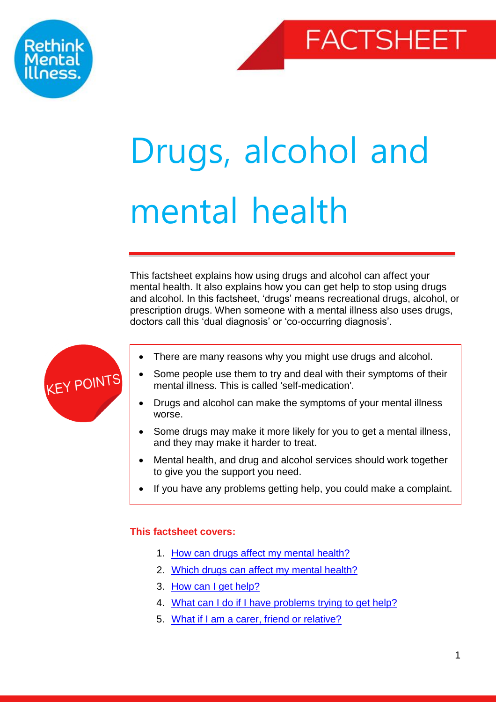



# Drugs, alcohol and mental health

This factsheet explains how using drugs and alcohol can affect your mental health. It also explains how you can get help to stop using drugs and alcohol. In this factsheet, 'drugs' means recreational drugs, alcohol, or prescription drugs. When someone with a mental illness also uses drugs, doctors call this 'dual diagnosis' or 'co-occurring diagnosis'.



- There are many reasons why you might use drugs and alcohol.
- Some people use them to try and deal with their symptoms of their mental illness. This is called 'self-medication'.
- Drugs and alcohol can make the symptoms of your mental illness worse.
- Some drugs may make it more likely for you to get a mental illness, and they may make it harder to treat.
- <span id="page-0-1"></span>Mental health, and drug and alcohol services should work together to give you the support you need.
- If you have any problems getting help, you could make a complaint.

# **This factsheet covers:**

Dual diagnosis

- 1. [How can drugs affect my mental health?](#page-0-0)
- 2. [Which drugs can affect my mental health?](#page-2-0)
- 3. [How can I get help?](#page-5-0)
- 4. [What can I do if I have problems trying to get help?](#page-7-0)
- <span id="page-0-0"></span>5. [What if I am a carer, friend or relative?](#page-7-1)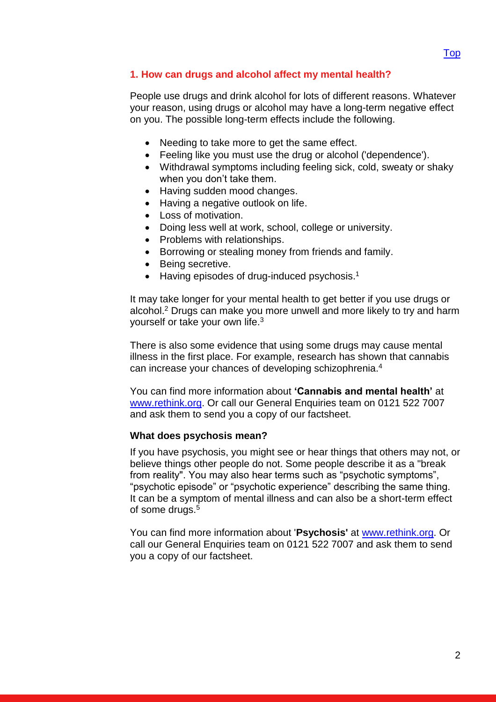## **1. How can drugs and alcohol affect my mental health?**

People use drugs and drink alcohol for lots of different reasons. Whatever your reason, using drugs or alcohol may have a long-term negative effect on you. The possible long-term effects include the following.

- Needing to take more to get the same effect.
- Feeling like you must use the drug or alcohol ('dependence').
- Withdrawal symptoms including feeling sick, cold, sweaty or shaky when you don't take them.
- Having sudden mood changes.
- Having a negative outlook on life.
- Loss of motivation.
- Doing less well at work, school, college or university.
- Problems with relationships.
- Borrowing or stealing money from friends and family.
- Being secretive.
- Having episodes of drug-induced psychosis.<sup>1</sup>

It may take longer for your mental health to get better if you use drugs or alcohol.<sup>2</sup> Drugs can make you more unwell and more likely to try and harm yourself or take your own life.<sup>3</sup>

There is also some evidence that using some drugs may cause mental illness in the first place. For example, research has shown that cannabis can increase your chances of developing schizophrenia.<sup>4</sup>

You can find more information about **'Cannabis and mental health'** at [www.rethink.org.](http://www.rethink.org/) Or call our General Enquiries team on 0121 522 7007 and ask them to send you a copy of our factsheet.

#### **What does psychosis mean?**

If you have psychosis, you might see or hear things that others may not, or believe things other people do not. Some people describe it as a "break from reality". You may also hear terms such as "psychotic symptoms", "psychotic episode" or "psychotic experience" describing the same thing. It can be a symptom of mental illness and can also be a short-term effect of some drugs.<sup>5</sup>

You can find more information about '**Psychosis'** at [www.rethink.org.](http://www.rethink.org/) Or call our General Enquiries team on 0121 522 7007 and ask them to send you a copy of our factsheet.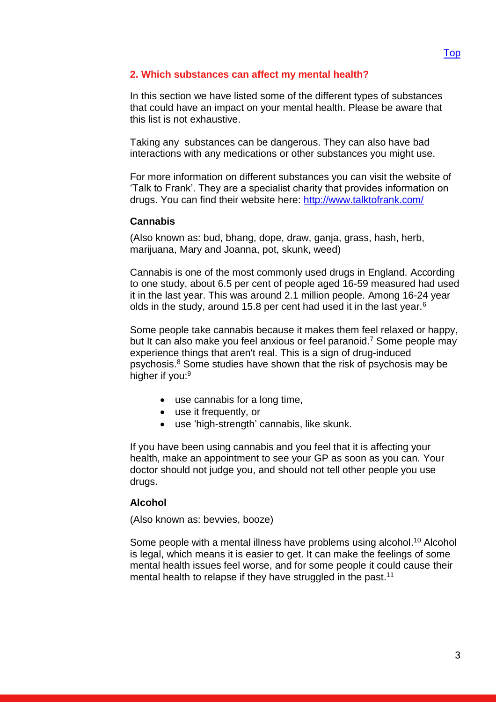## <span id="page-2-0"></span>**2. Which substances can affect my mental health?**

In this section we have listed some of the different types of substances that could have an impact on your mental health. Please be aware that this list is not exhaustive.

Taking any substances can be dangerous. They can also have bad interactions with any medications or other substances you might use.

For more information on different substances you can visit the website of 'Talk to Frank'. They are a specialist charity that provides information on drugs. You can find their website here:<http://www.talktofrank.com/>

#### **Cannabis**

(Also known as: bud, bhang, dope, draw, ganja, grass, hash, herb, marijuana, Mary and Joanna, pot, skunk, weed)

Cannabis is one of the most commonly used drugs in England. According to one study, about 6.5 per cent of people aged 16-59 measured had used it in the last year. This was around 2.1 million people. Among 16-24 year olds in the study, around 15.8 per cent had used it in the last year.<sup>6</sup>

Some people take cannabis because it makes them feel relaxed or happy, but It can also make you feel anxious or feel paranoid. <sup>7</sup> Some people may experience things that aren't real. This is a sign of drug-induced psychosis.<sup>8</sup> Some studies have shown that the risk of psychosis may be higher if you:<sup>9</sup>

- use cannabis for a long time,
- use it frequently, or
- use 'high-strength' cannabis, like skunk.

If you have been using cannabis and you feel that it is affecting your health, make an appointment to see your GP as soon as you can. Your doctor should not judge you, and should not tell other people you use drugs.

#### **Alcohol**

(Also known as: bevvies, booze)

Some people with a mental illness have problems using alcohol.<sup>10</sup> Alcohol is legal, which means it is easier to get. It can make the feelings of some mental health issues feel worse, and for some people it could cause their mental health to relapse if they have struggled in the past.<sup>11</sup>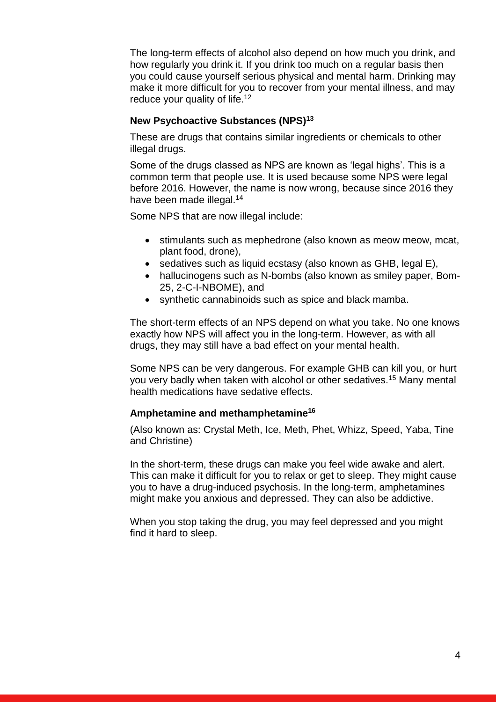The long-term effects of alcohol also depend on how much you drink, and how regularly you drink it. If you drink too much on a regular basis then you could cause yourself serious physical and mental harm. Drinking may make it more difficult for you to recover from your mental illness, and may reduce your quality of life.<sup>12</sup>

## **New Psychoactive Substances (NPS)<sup>13</sup>**

These are drugs that contains similar ingredients or chemicals to other illegal drugs.

Some of the drugs classed as NPS are known as 'legal highs'. This is a common term that people use. It is used because some NPS were legal before 2016. However, the name is now wrong, because since 2016 they have been made illegal.<sup>14</sup>

Some NPS that are now illegal include:

- stimulants such as mephedrone (also known as meow meow, mcat, plant food, drone),
- sedatives such as liquid ecstasy (also known as GHB, legal E),
- hallucinogens such as N-bombs (also known as smiley paper, Bom-25, 2-C-I-NBOME), and
- synthetic cannabinoids such as spice and black mamba.

The short-term effects of an NPS depend on what you take. No one knows exactly how NPS will affect you in the long-term. However, as with all drugs, they may still have a bad effect on your mental health.

Some NPS can be very dangerous. For example GHB can kill you, or hurt you very badly when taken with alcohol or other sedatives.<sup>15</sup> Many mental health medications have sedative effects.

#### **Amphetamine and methamphetamine<sup>16</sup>**

(Also known as: Crystal Meth, Ice, Meth, Phet, Whizz, Speed, Yaba, Tine and Christine)

In the short-term, these drugs can make you feel wide awake and alert. This can make it difficult for you to relax or get to sleep. They might cause you to have a drug-induced psychosis. In the long-term, amphetamines might make you anxious and depressed. They can also be addictive.

When you stop taking the drug, you may feel depressed and you might find it hard to sleep.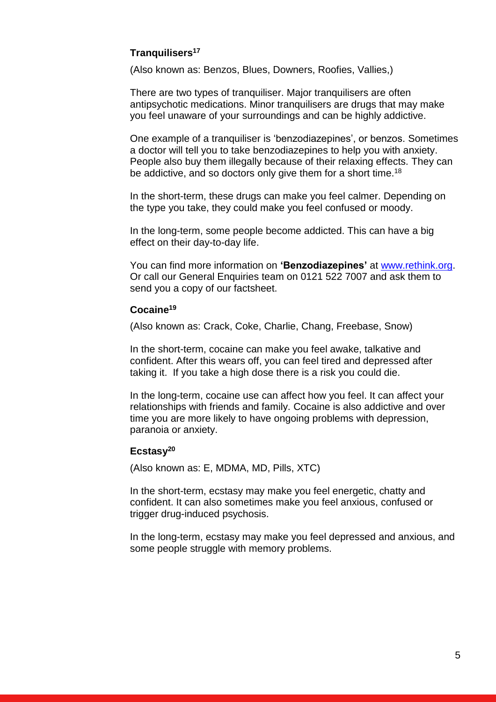## **Tranquilisers<sup>17</sup>**

(Also known as: Benzos, Blues, Downers, Roofies, Vallies,)

There are two types of tranquiliser. Major tranquilisers are often antipsychotic medications. Minor tranquilisers are drugs that may make you feel unaware of your surroundings and can be highly addictive.

One example of a tranquiliser is 'benzodiazepines', or benzos. Sometimes a doctor will tell you to take benzodiazepines to help you with anxiety. People also buy them illegally because of their relaxing effects. They can be addictive, and so doctors only give them for a short time.<sup>18</sup>

In the short-term, these drugs can make you feel calmer. Depending on the type you take, they could make you feel confused or moody.

In the long-term, some people become addicted. This can have a big effect on their day-to-day life.

You can find more information on **'Benzodiazepines'** at [www.rethink.org.](http://www.rethink.org/) Or call our General Enquiries team on 0121 522 7007 and ask them to send you a copy of our factsheet.

## **Cocaine<sup>19</sup>**

(Also known as: Crack, Coke, Charlie, Chang, Freebase, Snow)

In the short-term, cocaine can make you feel awake, talkative and confident. After this wears off, you can feel tired and depressed after taking it. If you take a high dose there is a risk you could die.

In the long-term, cocaine use can affect how you feel. It can affect your relationships with friends and family. Cocaine is also addictive and over time you are more likely to have ongoing problems with depression, paranoia or anxiety.

#### **Ecstasy<sup>20</sup>**

(Also known as: E, MDMA, MD, Pills, XTC)

In the short-term, ecstasy may make you feel energetic, chatty and confident. It can also sometimes make you feel anxious, confused or trigger drug-induced psychosis.

In the long-term, ecstasy may make you feel depressed and anxious, and some people struggle with memory problems.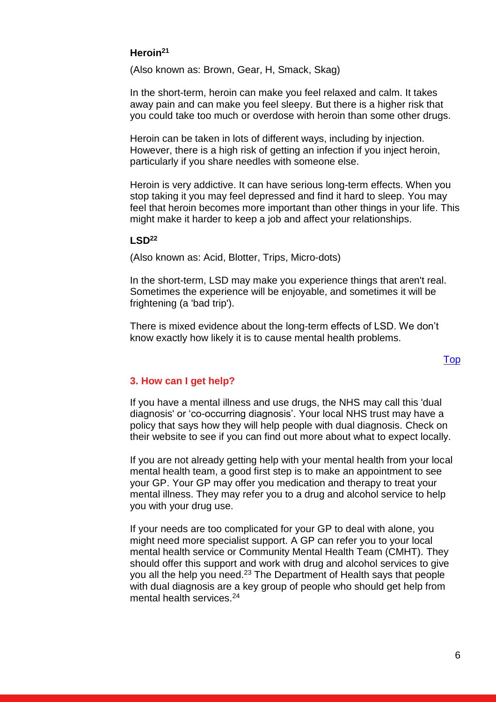## **Heroin<sup>21</sup>**

(Also known as: Brown, Gear, H, Smack, Skag)

In the short-term, heroin can make you feel relaxed and calm. It takes away pain and can make you feel sleepy. But there is a higher risk that you could take too much or overdose with heroin than some other drugs.

Heroin can be taken in lots of different ways, including by injection. However, there is a high risk of getting an infection if you inject heroin, particularly if you share needles with someone else.

Heroin is very addictive. It can have serious long-term effects. When you stop taking it you may feel depressed and find it hard to sleep. You may feel that heroin becomes more important than other things in your life. This might make it harder to keep a job and affect your relationships.

#### **LSD<sup>22</sup>**

(Also known as: Acid, Blotter, Trips, Micro-dots)

In the short-term, LSD may make you experience things that aren't real. Sometimes the experience will be enjoyable, and sometimes it will be frightening (a 'bad trip').

There is mixed evidence about the long-term effects of LSD. We don't know exactly how likely it is to cause mental health problems.

## [Top](#page-0-1)

#### <span id="page-5-0"></span>**3. How can I get help?**

If you have a mental illness and use drugs, the NHS may call this 'dual diagnosis' or 'co-occurring diagnosis'. Your local NHS trust may have a policy that says how they will help people with dual diagnosis. Check on their website to see if you can find out more about what to expect locally.

If you are not already getting help with your mental health from your local mental health team, a good first step is to make an appointment to see your GP. Your GP may offer you medication and therapy to treat your mental illness. They may refer you to a drug and alcohol service to help you with your drug use.

If your needs are too complicated for your GP to deal with alone, you might need more specialist support. A GP can refer you to your local mental health service or Community Mental Health Team (CMHT). They should offer this support and work with drug and alcohol services to give you all the help you need.<sup>23</sup> The Department of Health says that people with dual diagnosis are a key group of people who should get help from mental health services.<sup>24</sup>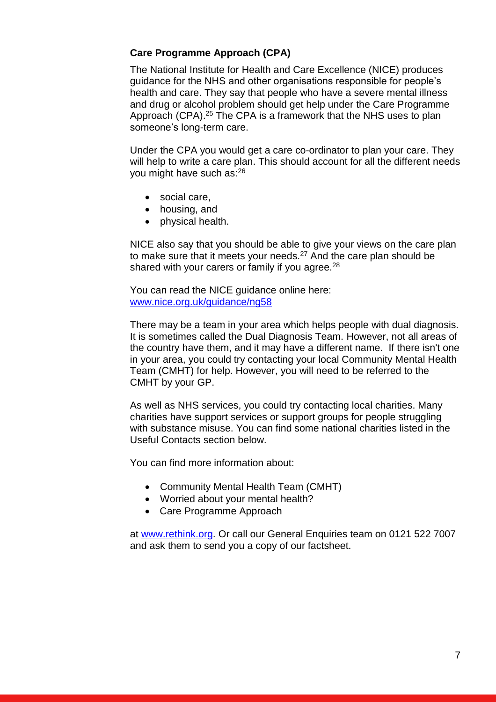## **Care Programme Approach (CPA)**

The National Institute for Health and Care Excellence (NICE) produces guidance for the NHS and other organisations responsible for people's health and care. They say that people who have a severe mental illness and drug or alcohol problem should get help under the Care Programme Approach (CPA).<sup>25</sup> The CPA is a framework that the NHS uses to plan someone's long-term care.

Under the CPA you would get a care co-ordinator to plan your care. They will help to write a care plan. This should account for all the different needs you might have such as:<sup>26</sup>

- social care,
- housing, and
- physical health.

NICE also say that you should be able to give your views on the care plan to make sure that it meets your needs. $27$  And the care plan should be shared with your carers or family if you agree. $28$ 

You can read the NICE guidance online here: [www.nice.org.uk/guidance/ng58](https://www.nice.org.uk/guidance/ng58)

There may be a team in your area which helps people with dual diagnosis. It is sometimes called the Dual Diagnosis Team. However, not all areas of the country have them, and it may have a different name. If there isn't one in your area, you could try contacting your local Community Mental Health Team (CMHT) for help. However, you will need to be referred to the CMHT by your GP.

As well as NHS services, you could try contacting local charities. Many charities have support services or support groups for people struggling with substance misuse. You can find some national charities listed in the Useful Contacts section below.

You can find more information about:

- Community Mental Health Team (CMHT)
- Worried about your mental health?
- Care Programme Approach

at [www.rethink.org.](http://www.rethink.org/) Or call our General Enquiries team on 0121 522 7007 and ask them to send you a copy of our factsheet.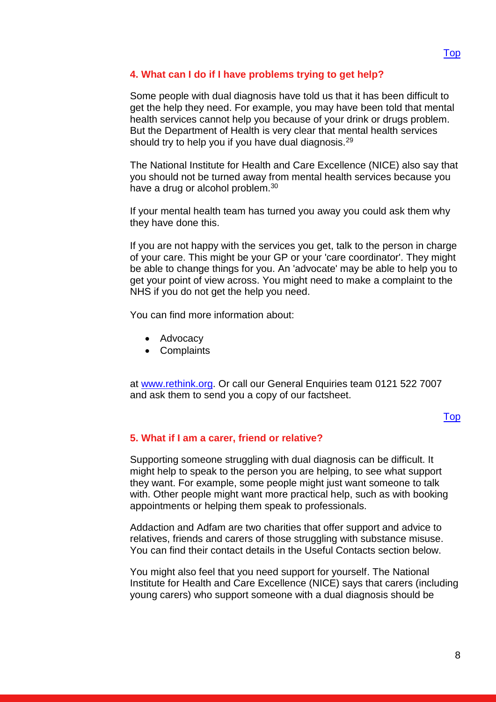## <span id="page-7-0"></span>**4. What can I do if I have problems trying to get help?**

Some people with dual diagnosis have told us that it has been difficult to get the help they need. For example, you may have been told that mental health services cannot help you because of your drink or drugs problem. But the Department of Health is very clear that mental health services should try to help you if you have dual diagnosis.<sup>29</sup>

The National Institute for Health and Care Excellence (NICE) also say that you should not be turned away from mental health services because you have a drug or alcohol problem.<sup>30</sup>

If your mental health team has turned you away you could ask them why they have done this.

If you are not happy with the services you get, talk to the person in charge of your care. This might be your GP or your 'care coordinator'. They might be able to change things for you. An 'advocate' may be able to help you to get your point of view across. You might need to make a complaint to the NHS if you do not get the help you need.

You can find more information about:

- Advocacy
- Complaints

at [www.rethink.org.](http://www.rethink.org/) Or call our General Enquiries team 0121 522 7007 and ask them to send you a copy of our factsheet.

#### [Top](#page-0-1)

#### <span id="page-7-1"></span>**5. What if I am a carer, friend or relative?**

Supporting someone struggling with dual diagnosis can be difficult. It might help to speak to the person you are helping, to see what support they want. For example, some people might just want someone to talk with. Other people might want more practical help, such as with booking appointments or helping them speak to professionals.

Addaction and Adfam are two charities that offer support and advice to relatives, friends and carers of those struggling with substance misuse. You can find their contact details in the Useful Contacts section below.

You might also feel that you need support for yourself. The National Institute for Health and Care Excellence (NICE) says that carers (including young carers) who support someone with a dual diagnosis should be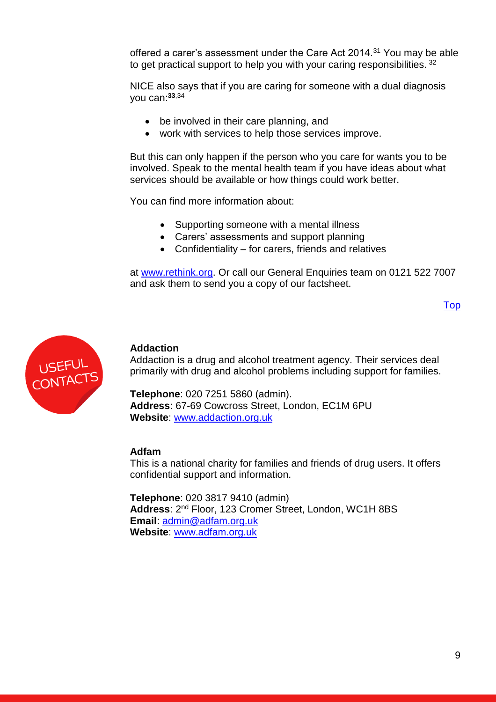offered a carer's assessment under the Care Act 2014.<sup>31</sup> You may be able to get practical support to help you with your caring responsibilities. 32

NICE also says that if you are caring for someone with a dual diagnosis you can: **33**,34

- be involved in their care planning, and
- work with services to help those services improve.

But this can only happen if the person who you care for wants you to be involved. Speak to the mental health team if you have ideas about what services should be available or how things could work better.

You can find more information about:

- Supporting someone with a mental illness
- Carers' assessments and support planning
- Confidentiality for carers, friends and relatives

at [www.rethink.org.](http://www.rethink.org/) Or call our General Enquiries team on 0121 522 7007 and ask them to send you a copy of our factsheet.

```
Top
```


#### **Addaction**

Addaction is a drug and alcohol treatment agency. Their services deal primarily with drug and alcohol problems including support for families.

**Telephone**: 020 7251 5860 (admin). **Address**: 67-69 Cowcross Street, London, EC1M 6PU **Website**: [www.addaction.org.uk](http://www.addaction.org.uk/)

#### **Adfam**

This is a national charity for families and friends of drug users. It offers confidential support and information.

**Telephone**: 020 3817 9410 (admin) **Address**: 2 nd Floor, 123 Cromer Street, London, WC1H 8BS **Email**: [admin@adfam.org.uk](mailto:admin@adfam.org.uk) **Website**: [www.adfam.org.uk](http://www.adfam.org.uk/)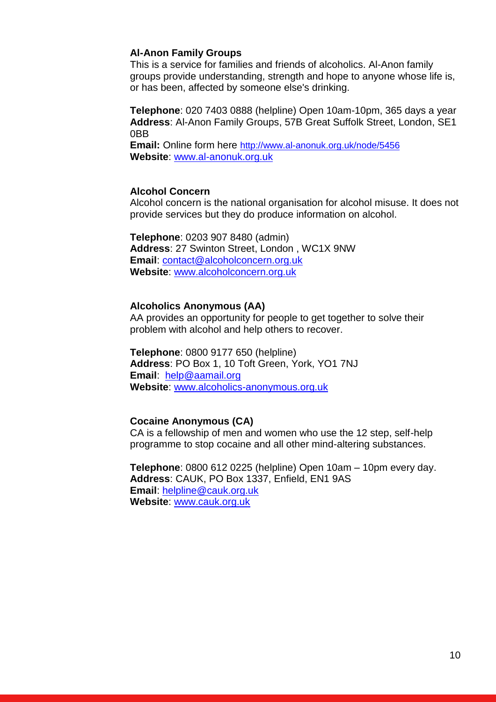#### **Al-Anon Family Groups**

This is a service for families and friends of alcoholics. Al-Anon family groups provide understanding, strength and hope to anyone whose life is, or has been, affected by someone else's drinking.

**Telephone**: 020 7403 0888 (helpline) Open 10am-10pm, 365 days a year **Address**: Al-Anon Family Groups, 57B Great Suffolk Street, London, SE1 0BB

**Email:** Online form here [http://www.al-anonuk.org.uk/node/5456](file://///Srv-fil05/YKS_NE_EM/EM/Advice%20&%20Information%20Service%20AIS4005/Shared/FACT%20SHEETS/Drugs%20Alcohol%20and%20Mental%20Health%20Factsheet/Review%20Folder/2018/www.al-anonuk.org.uk/node/5456) **Website**: [www.al-anonuk.org.uk](http://www.al-anonuk.org.uk/)

#### **Alcohol Concern**

Alcohol concern is the national organisation for alcohol misuse. It does not provide services but they do produce information on alcohol.

**Telephone**: 0203 907 8480 (admin) **Address**: 27 Swinton Street, London , WC1X 9NW **Email**: [contact@alcoholconcern.org.uk](mailto:contact@alcoholconcern.org.uk) **Website**: [www.alcoholconcern.org.uk](http://www.alcoholconcern.org.uk/)

#### **Alcoholics Anonymous (AA)**

AA provides an opportunity for people to get together to solve their problem with alcohol and help others to recover.

**Telephone**: 0800 9177 650 (helpline) **Address**: PO Box 1, 10 Toft Green, York, YO1 7NJ **Email**: [help@aamail.org](mailto:help@aamail.org) **Website**: [www.alcoholics-anonymous.org.uk](http://www.alcoholics-anonymous.org.uk/)

## **Cocaine Anonymous (CA)**

CA is a fellowship of men and women who use the 12 step, self-help programme to stop cocaine and all other mind-altering substances.

**Telephone**: 0800 612 0225 (helpline) Open 10am – 10pm every day. **Address**: CAUK, PO Box 1337, Enfield, EN1 9AS **Email**: [helpline@cauk.org.uk](mailto:helpline@cauk.org.uk) **Website**: [www.cauk.org.uk](http://www.cauk.org.uk/)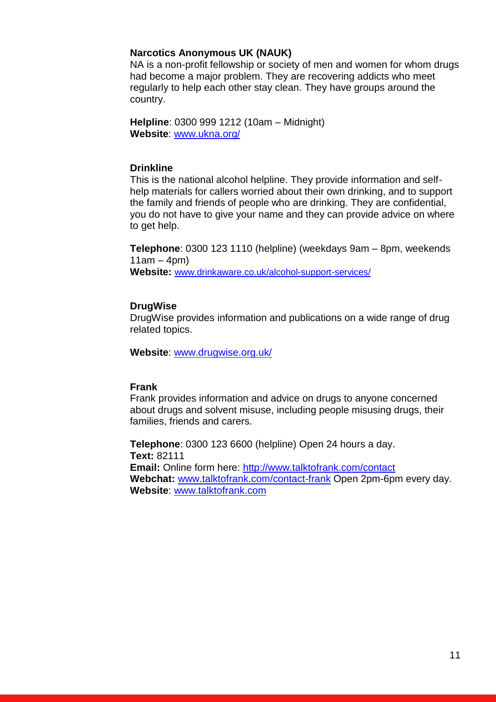#### **Narcotics Anonymous UK (NAUK)**

NA is a non-profit fellowship or society of men and women for whom drugs had become a major problem. They are recovering addicts who meet regularly to help each other stay clean. They have groups around the country.

**Helpline**: 0300 999 1212 (10am – Midnight) **Website**: [www.ukna.org/](http://ukna.org/)

#### **Drinkline**

This is the national alcohol helpline. They provide information and selfhelp materials for callers worried about their own drinking, and to support the family and friends of people who are drinking. They are confidential, you do not have to give your name and they can provide advice on where to get help.

**Telephone**: 0300 123 1110 (helpline) (weekdays 9am – 8pm, weekends  $11am - 4pm$ 

**Website:** [www.drinkaware.co.uk/alcohol-support-services/](https://www.drinkaware.co.uk/alcohol-support-services/)

#### **DrugWise**

DrugWise provides information and publications on a wide range of drug related topics.

**Website**: [www.drugwise.org.uk/](http://www.drugwise.org.uk/) 

## **Frank**

Frank provides information and advice on drugs to anyone concerned about drugs and solvent misuse, including people misusing drugs, their families, friends and carers.

**Telephone**: 0300 123 6600 (helpline) Open 24 hours a day. **Text:** 82111 **Email:** Online form here:<http://www.talktofrank.com/contact> **Webchat:** [www.talktofrank.com/contact-frank](http://www.talktofrank.com/contact-frank) Open 2pm-6pm every day. **Website**: [www.talktofrank.com](http://www.talktofrank.com/)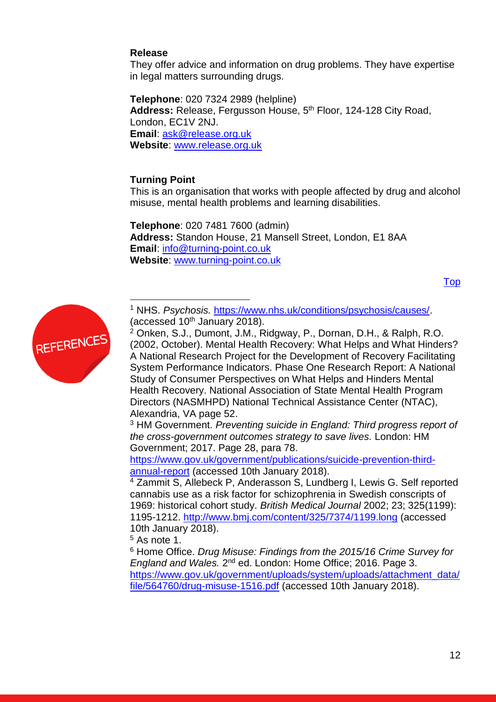## **Release**

They offer advice and information on drug problems. They have expertise in legal matters surrounding drugs.

**Telephone**: 020 7324 2989 (helpline) **Address:** Release, Fergusson House, 5 th Floor, 124-128 City Road, London, EC1V 2NJ. **Email**: [ask@release.org.uk](mailto:ask@release.org.uk) **Website**: [www.release.org.uk](http://www.release.org.uk/)

## **Turning Point**

 $\overline{a}$ 

This is an organisation that works with people affected by drug and alcohol misuse, mental health problems and learning disabilities.

**Telephone**: 020 7481 7600 (admin) **Address:** Standon House, 21 Mansell Street, London, E1 8AA **Email**: [info@turning-point.co.uk](mailto:info@turning-point.co.uk) **Website**: [www.turning-point.co.uk](http://www.turning-point.co.uk/)

Top



<sup>1</sup> NHS. *Psychosis.* [https://www.nhs.uk/conditions/psychosis/causes/.](https://www.nhs.uk/conditions/psychosis/causes/) (accessed  $10<sup>th</sup>$  January 2018).

<sup>2</sup> Onken, S.J., Dumont, J.M., Ridgway, P., Dornan, D.H., & Ralph, R.O. (2002, October). Mental Health Recovery: What Helps and What Hinders? A National Research Project for the Development of Recovery Facilitating System Performance Indicators. Phase One Research Report: A National Study of Consumer Perspectives on What Helps and Hinders Mental Health Recovery. National Association of State Mental Health Program Directors (NASMHPD) National Technical Assistance Center (NTAC), Alexandria, VA page 52.

<sup>3</sup> HM Government. *Preventing suicide in England: Third progress report of the cross-government outcomes strategy to save lives.* London: HM Government; 2017. Page 28, para 78.

[https://www.gov.uk/government/publications/suicide-prevention-third](https://www.gov.uk/government/publications/suicide-prevention-third-annual-report)[annual-report](https://www.gov.uk/government/publications/suicide-prevention-third-annual-report) (accessed 10th January 2018).

<sup>4</sup> Zammit S, Allebeck P, Anderasson S, Lundberg I, Lewis G. Self reported cannabis use as a risk factor for schizophrenia in Swedish conscripts of 1969: historical cohort study. *British Medical Journal* 2002; 23; 325(1199): 1195-1212.<http://www.bmj.com/content/325/7374/1199.long> (accessed 10th January 2018).

 $5$  As note 1.

<sup>6</sup> Home Office. *Drug Misuse: Findings from the 2015/16 Crime Survey for*  England and Wales. 2<sup>nd</sup> ed. London: Home Office; 2016. Page 3. [https://www.gov.uk/government/uploads/system/uploads/attachment\\_data/](https://www.gov.uk/government/uploads/system/uploads/attachment_data/file/564760/drug-misuse-1516.pdf) [file/564760/drug-misuse-1516.pdf](https://www.gov.uk/government/uploads/system/uploads/attachment_data/file/564760/drug-misuse-1516.pdf) (accessed 10th January 2018).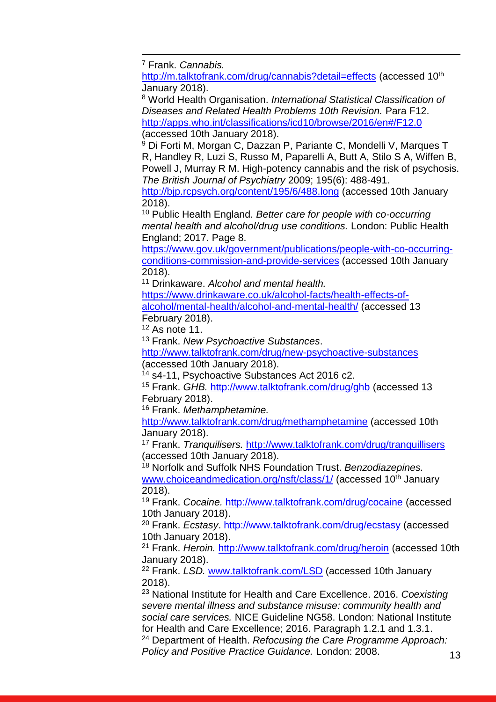$\overline{a}$ <sup>7</sup> Frank. *Cannabis.* 

<http://m.talktofrank.com/drug/cannabis?detail=effects> (accessed 10<sup>th</sup> January 2018).

<sup>8</sup> World Health Organisation. *International Statistical Classification of Diseases and Related Health Problems 10th Revision.* Para F12. <http://apps.who.int/classifications/icd10/browse/2016/en#/F12.0> (accessed 10th January 2018).

<sup>9</sup> Di Forti M, Morgan C, Dazzan P, Pariante C, Mondelli V, Marques T R, Handley R, Luzi S, Russo M, Paparelli A, Butt A, Stilo S A, Wiffen B, Powell J, Murray R M. High-potency cannabis and the risk of psychosis. *The British Journal of Psychiatry* 2009; 195(6): 488-491.

<http://bjp.rcpsych.org/content/195/6/488.long> (accessed 10th January 2018).

<sup>10</sup> Public Health England. *Better care for people with co-occurring mental health and alcohol/drug use conditions.* London: Public Health England; 2017. Page 8.

[https://www.gov.uk/government/publications/people-with-co-occurring](https://www.gov.uk/government/publications/people-with-co-occurring-conditions-commission-and-provide-services)[conditions-commission-and-provide-services](https://www.gov.uk/government/publications/people-with-co-occurring-conditions-commission-and-provide-services) (accessed 10th January 2018).

<sup>11</sup> Drinkaware. *Alcohol and mental health.* 

[https://www.drinkaware.co.uk/alcohol-facts/health-effects-of](https://www.drinkaware.co.uk/alcohol-facts/health-effects-of-alcohol/mental-health/alcohol-and-mental-health/)[alcohol/mental-health/alcohol-and-mental-health/](https://www.drinkaware.co.uk/alcohol-facts/health-effects-of-alcohol/mental-health/alcohol-and-mental-health/) (accessed 13 February 2018).

 $12$  As note 11.

<sup>13</sup> Frank. *New Psychoactive Substances*.

<http://www.talktofrank.com/drug/new-psychoactive-substances> (accessed 10th January 2018).

<sup>14</sup> s4-11, Psychoactive Substances Act 2016 c2.

<sup>15</sup> Frank. *GHB.* <http://www.talktofrank.com/drug/ghb> (accessed 13 February 2018).

<sup>16</sup> Frank. *Methamphetamine.* 

<http://www.talktofrank.com/drug/methamphetamine> (accessed 10th January 2018).

<sup>17</sup> Frank. *Tranquilisers.* <http://www.talktofrank.com/drug/tranquillisers> (accessed 10th January 2018).

<sup>18</sup> Norfolk and Suffolk NHS Foundation Trust. *Benzodiazepines.*  [www.choiceandmedication.org/nsft/class/1/](http://www.choiceandmedication.org/nsft/class/1/) (accessed 10<sup>th</sup> January 2018).

<sup>19</sup> Frank. *Cocaine.* <http://www.talktofrank.com/drug/cocaine> (accessed 10th January 2018).

<sup>20</sup> Frank. *Ecstasy*.<http://www.talktofrank.com/drug/ecstasy> (accessed 10th January 2018).

<sup>21</sup> Frank. *Heroin.* <http://www.talktofrank.com/drug/heroin> (accessed 10th January 2018).

<sup>22</sup> Frank. *LSD.* [www.talktofrank.com/LSD](http://www.talktofrank.com/LSD) (accessed 10th January 2018).

<sup>23</sup> National Institute for Health and Care Excellence. 2016. *Coexisting severe mental illness and substance misuse: community health and social care services.* NICE Guideline NG58. London: National Institute for Health and Care Excellence; 2016. Paragraph 1.2.1 and 1.3.1. <sup>24</sup> Department of Health. *Refocusing the Care Programme Approach: Policy and Positive Practice Guidance.* London: 2008.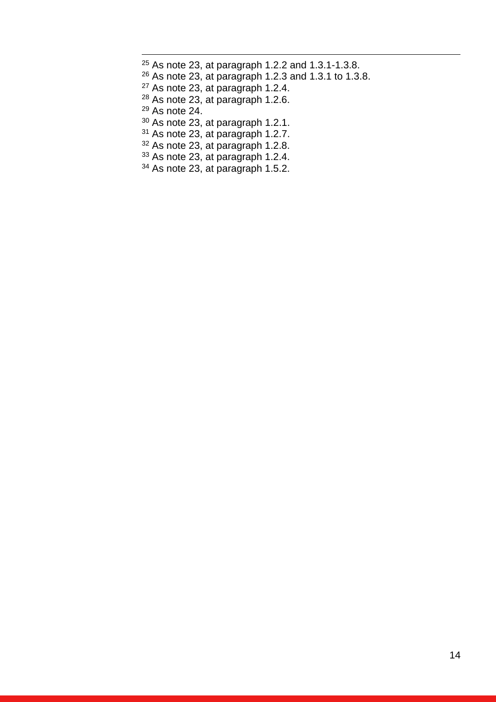As note 23, at paragraph 1.2.2 and 1.3.1-1.3.8. As note 23, at paragraph 1.2.3 and 1.3.1 to 1.3.8. As note 23, at paragraph 1.2.4. As note 23, at paragraph 1.2.6. As note 24. As note 23, at paragraph 1.2.1. As note 23, at paragraph 1.2.7. <sup>32</sup> As note 23, at paragraph 1.2.8.

As note 23, at paragraph 1.2.4.

 $\overline{a}$ 

<sup>34</sup> As note 23, at paragraph 1.5.2.